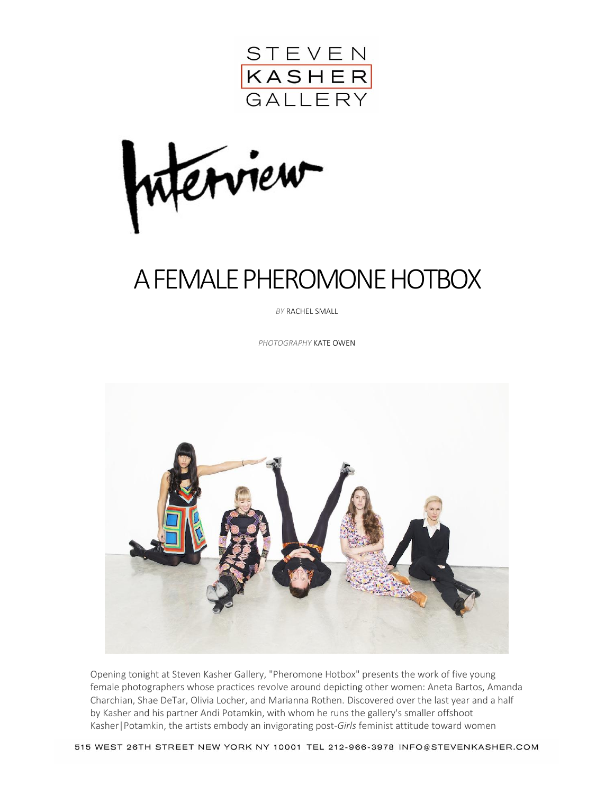

erview

# A FEMALE PHEROMONE HOTBOX

*BY* RACHEL SMALL

*PHOTOGRAPHY* KATE OWEN



Opening tonight at Steven Kasher Gallery, "Pheromone Hotbox" presents the work of five young female photographers whose practices revolve around depicting other women: Aneta Bartos, Amanda Charchian, Shae DeTar, Olivia Locher, and Marianna Rothen. Discovered over the last year and a half by Kasher and his partner Andi Potamkin, with whom he runs the gallery's smaller offshoot Kasher|Potamkin, the artists embody an invigorating post-*Girls* feminist attitude toward women

515 WEST 26TH STREET NEW YORK NY 10001 TEL 212-966-3978 INFO@STEVENKASHER.COM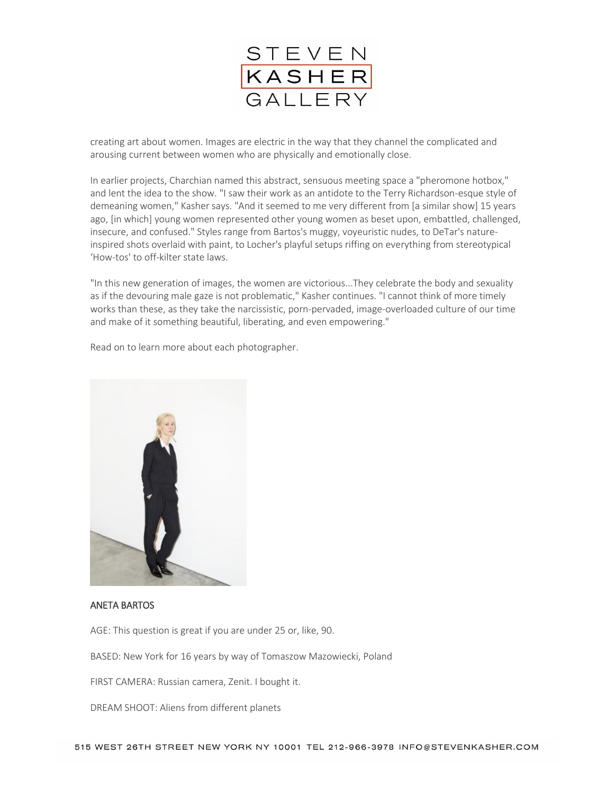

creating art about women. Images are electric in the way that they channel the complicated and arousing current between women who are physically and emotionally close.

In earlier projects, Charchian named this abstract, sensuous meeting space a "pheromone hotbox," and lent the idea to the show. "I saw their work as an antidote to the Terry Richardson-esque style of demeaning women," Kasher says. "And it seemed to me very different from [a similar show] 15 years ago, [in which] young women represented other young women as beset upon, embattled, challenged, insecure, and confused." Styles range from Bartos's muggy, voyeuristic nudes, to DeTar's natureinspired shots overlaid with paint, to Locher's playful setups riffing on everything from stereotypical 'How-tos' to off-kilter state laws.

"In this new generation of images, the women are victorious...They celebrate the body and sexuality as if the devouring male gaze is not problematic," Kasher continues. "I cannot think of more timely works than these, as they take the narcissistic, porn-pervaded, image-overloaded culture of our time and make of it something beautiful, liberating, and even empowering."

Read on to learn more about each photographer.



#### ANETA BARTOS

AGE: This question is great if you are under 25 or, like, 90.

BASED: New York for 16 years by way of Tomaszow Mazowiecki, Poland

FIRST CAMERA: Russian camera, Zenit. I bought it.

DREAM SHOOT: Aliens from different planets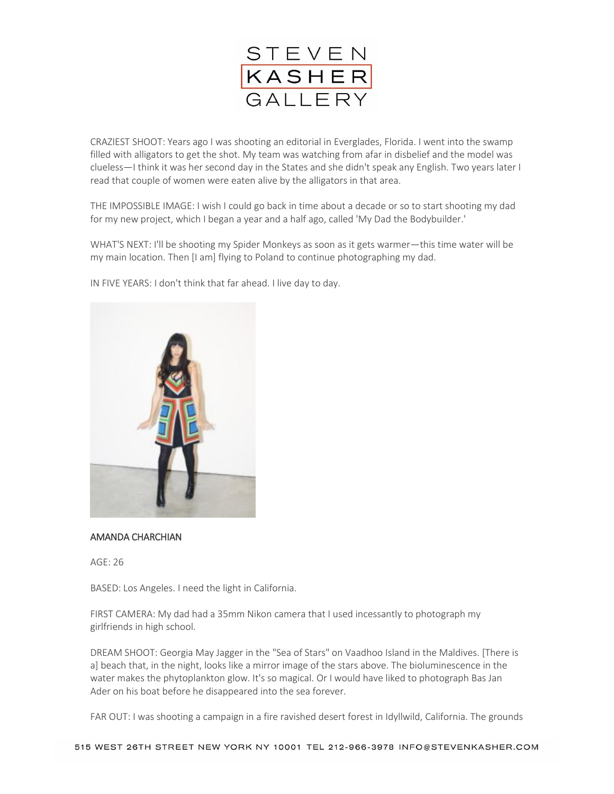

CRAZIEST SHOOT: Years ago I was shooting an editorial in Everglades, Florida. I went into the swamp filled with alligators to get the shot. My team was watching from afar in disbelief and the model was clueless—I think it was her second day in the States and she didn't speak any English. Two years later I read that couple of women were eaten alive by the alligators in that area.

THE IMPOSSIBLE IMAGE: I wish I could go back in time about a decade or so to start shooting my dad for my new project, which I began a year and a half ago, called 'My Dad the Bodybuilder.'

WHAT'S NEXT: I'll be shooting my Spider Monkeys as soon as it gets warmer—this time water will be my main location. Then [I am] flying to Poland to continue photographing my dad.



IN FIVE YEARS: I don't think that far ahead. I live day to day.

## AMANDA CHARCHIAN

AGE: 26

BASED: Los Angeles. I need the light in California.

FIRST CAMERA: My dad had a 35mm Nikon camera that I used incessantly to photograph my girlfriends in high school.

DREAM SHOOT: Georgia May Jagger in the "Sea of Stars" on Vaadhoo Island in the Maldives. [There is a] beach that, in the night, looks like a mirror image of the stars above. The bioluminescence in the water makes the phytoplankton glow. It's so magical. Or I would have liked to photograph Bas Jan Ader on his boat before he disappeared into the sea forever.

FAR OUT: I was shooting a campaign in a fire ravished desert forest in Idyllwild, California. The grounds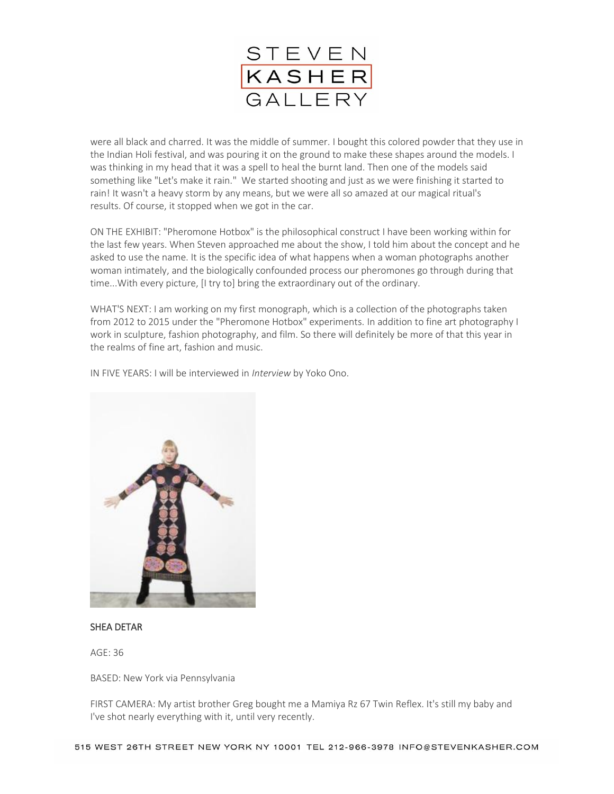

were all black and charred. It was the middle of summer. I bought this colored powder that they use in the Indian Holi festival, and was pouring it on the ground to make these shapes around the models. I was thinking in my head that it was a spell to heal the burnt land. Then one of the models said something like "Let's make it rain." We started shooting and just as we were finishing it started to rain! It wasn't a heavy storm by any means, but we were all so amazed at our magical ritual's results. Of course, it stopped when we got in the car.

ON THE EXHIBIT: "Pheromone Hotbox" is the philosophical construct I have been working within for the last few years. When Steven approached me about the show, I told him about the concept and he asked to use the name. It is the specific idea of what happens when a woman photographs another woman intimately, and the biologically confounded process our pheromones go through during that time...With every picture, [I try to] bring the extraordinary out of the ordinary.

WHAT'S NEXT: I am working on my first monograph, which is a collection of the photographs taken from 2012 to 2015 under the "Pheromone Hotbox" experiments. In addition to fine art photography I work in sculpture, fashion photography, and film. So there will definitely be more of that this year in the realms of fine art, fashion and music.

IN FIVE YEARS: I will be interviewed in *Interview* by Yoko Ono.



### SHEA DETAR

 $AGF: 36$ 

BASED: New York via Pennsylvania

FIRST CAMERA: My artist brother Greg bought me a Mamiya Rz 67 Twin Reflex. It's still my baby and I've shot nearly everything with it, until very recently.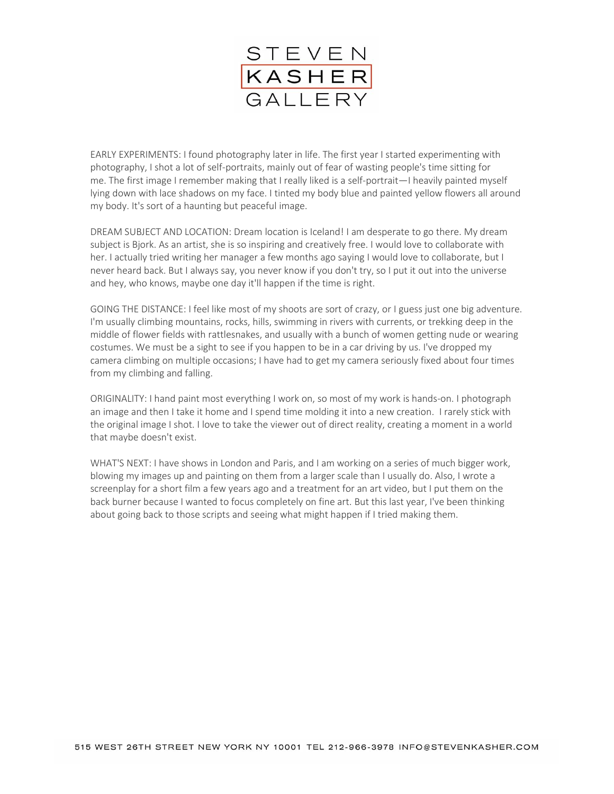

EARLY EXPERIMENTS: I found photography later in life. The first year I started experimenting with photography, I shot a lot of self-portraits, mainly out of fear of wasting people's time sitting for me. The first image I remember making that I really liked is a self-portrait—I heavily painted myself lying down with lace shadows on my face. I tinted my body blue and painted yellow flowers all around my body. It's sort of a haunting but peaceful image.

DREAM SUBJECT AND LOCATION: Dream location is Iceland! I am desperate to go there. My dream subject is Bjork. As an artist, she is so inspiring and creatively free. I would love to collaborate with her. I actually tried writing her manager a few months ago saying I would love to collaborate, but I never heard back. But I always say, you never know if you don't try, so I put it out into the universe and hey, who knows, maybe one day it'll happen if the time is right.

GOING THE DISTANCE: I feel like most of my shoots are sort of crazy, or I guess just one big adventure. I'm usually climbing mountains, rocks, hills, swimming in rivers with currents, or trekking deep in the middle of flower fields with rattlesnakes, and usually with a bunch of women getting nude or wearing costumes. We must be a sight to see if you happen to be in a car driving by us. I've dropped my camera climbing on multiple occasions; I have had to get my camera seriously fixed about four times from my climbing and falling.

ORIGINALITY: I hand paint most everything I work on, so most of my work is hands-on. I photograph an image and then I take it home and I spend time molding it into a new creation. I rarely stick with the original image I shot. I love to take the viewer out of direct reality, creating a moment in a world that maybe doesn't exist.

WHAT'S NEXT: I have shows in London and Paris, and I am working on a series of much bigger work, blowing my images up and painting on them from a larger scale than I usually do. Also, I wrote a screenplay for a short film a few years ago and a treatment for an art video, but I put them on the back burner because I wanted to focus completely on fine art. But this last year, I've been thinking about going back to those scripts and seeing what might happen if I tried making them.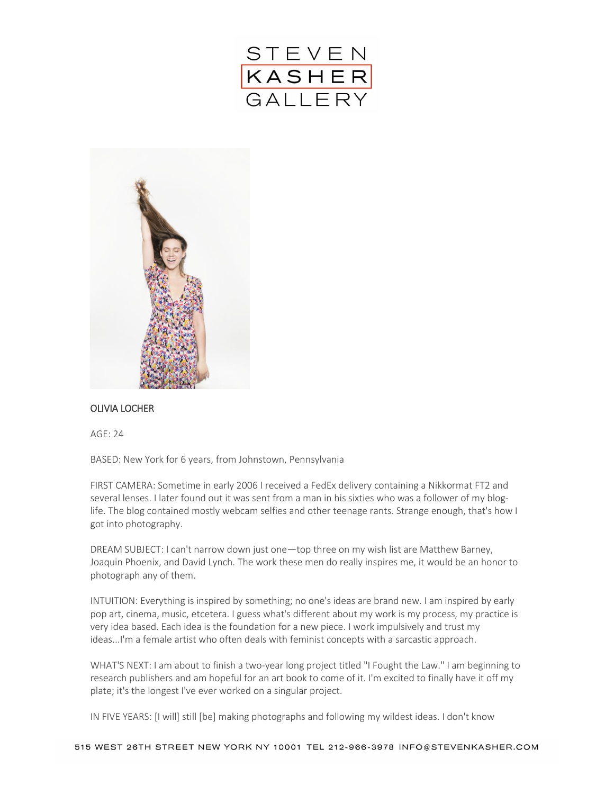



### OLIVIA LOCHER

AGE: 24

BASED: New York for 6 years, from Johnstown, Pennsylvania

FIRST CAMERA: Sometime in early 2006 I received a FedEx delivery containing a Nikkormat FT2 and several lenses. I later found out it was sent from a man in his sixties who was a follower of my bloglife. The blog contained mostly webcam selfies and other teenage rants. Strange enough, that's how I got into photography.

DREAM SUBJECT: I can't narrow down just one—top three on my wish list are Matthew Barney, Joaquin Phoenix, and David Lynch. The work these men do really inspires me, it would be an honor to photograph any of them.

INTUITION: Everything is inspired by something; no one's ideas are brand new. I am inspired by early pop art, cinema, music, etcetera. I guess what's different about my work is my process, my practice is very idea based. Each idea is the foundation for a new piece. I work impulsively and trust my ideas...I'm a female artist who often deals with feminist concepts with a sarcastic approach.

WHAT'S NEXT: I am about to finish a two-year long project titled "I Fought the Law." I am beginning to research publishers and am hopeful for an art book to come of it. I'm excited to finally have it off my plate; it's the longest I've ever worked on a singular project.

IN FIVE YEARS: [I will] still [be] making photographs and following my wildest ideas. I don't know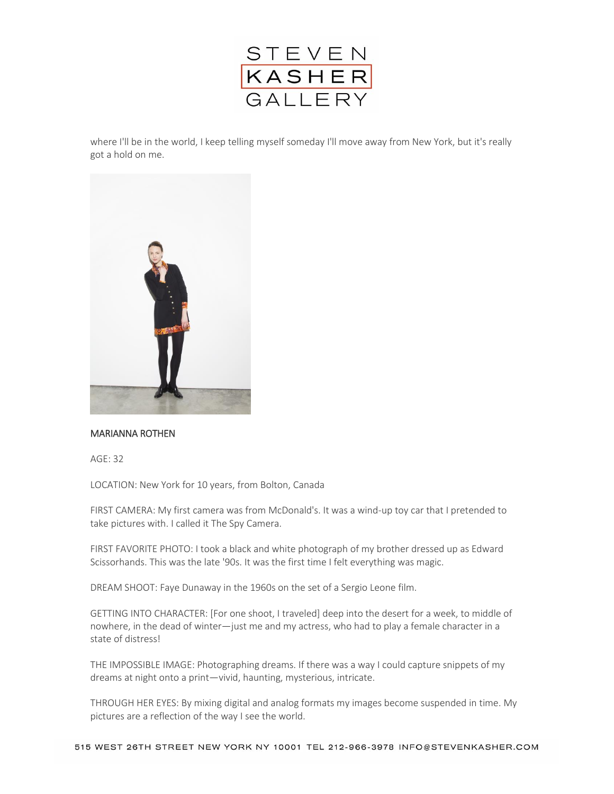

where I'll be in the world, I keep telling myself someday I'll move away from New York, but it's really got a hold on me.



### MARIANNA ROTHEN

AGE: 32

LOCATION: New York for 10 years, from Bolton, Canada

FIRST CAMERA: My first camera was from McDonald's. It was a wind-up toy car that I pretended to take pictures with. I called it The Spy Camera.

FIRST FAVORITE PHOTO: I took a black and white photograph of my brother dressed up as Edward Scissorhands. This was the late '90s. It was the first time I felt everything was magic.

DREAM SHOOT: Faye Dunaway in the 1960s on the set of a Sergio Leone film.

GETTING INTO CHARACTER: [For one shoot, I traveled] deep into the desert for a week, to middle of nowhere, in the dead of winter—just me and my actress, who had to play a female character in a state of distress!

THE IMPOSSIBLE IMAGE: Photographing dreams. If there was a way I could capture snippets of my dreams at night onto a print—vivid, haunting, mysterious, intricate.

THROUGH HER EYES: By mixing digital and analog formats my images become suspended in time. My pictures are a reflection of the way I see the world.